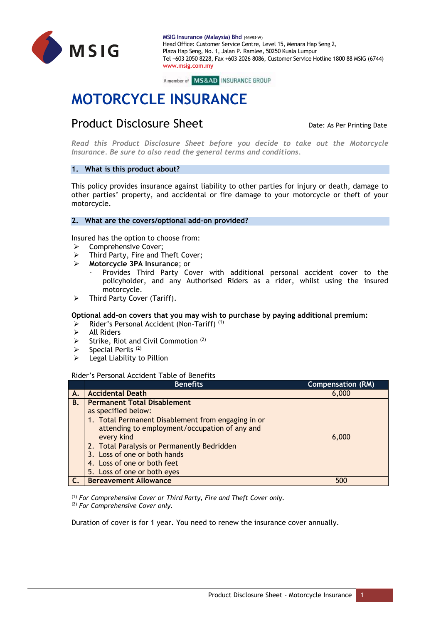

A member of MS&AD INSURANCE GROUP

# **MOTORCYCLE INSURANCE**

# **Product Disclosure Sheet** Date: As Per Printing Date: As Per Printing Date

*Read this Product Disclosure Sheet before you decide to take out the Motorcycle Insurance. Be sure to also read the general terms and conditions.*

# **1. What is this product about?**

This policy provides insurance against liability to other parties for injury or death, damage to other parties' property, and accidental or fire damage to your motorcycle or theft of your motorcycle.

# **2. What are the covers/optional add-on provided?**

Insured has the option to choose from:

- ▶ Comprehensive Cover;
- $\triangleright$  Third Party, Fire and Theft Cover;
- **Motorcycle 3PA Insurance**; or
	- Provides Third Party Cover with additional personal accident cover to the policyholder, and any Authorised Riders as a rider, whilst using the insured motorcycle.
- $\triangleright$  Third Party Cover (Tariff).

# **Optional add-on covers that you may wish to purchase by paying additional premium:**

- Rider's Personal Accident (Non-Tariff) (1)
- $\triangleright$  All Riders
- $\triangleright$  Strike, Riot and Civil Commotion (2)
- $\triangleright$  Special Perils (2)
- $\triangleright$  Legal Liability to Pillion

# Rider's Personal Accident Table of Benefits

|    | <b>Benefits</b>                                    | <b>Compensation (RM)</b> |
|----|----------------------------------------------------|--------------------------|
| А. | <b>Accidental Death</b>                            | 6,000                    |
| В. | <b>Permanent Total Disablement</b>                 |                          |
|    | as specified below:                                |                          |
|    | 1. Total Permanent Disablement from engaging in or |                          |
|    | attending to employment/occupation of any and      |                          |
|    | every kind                                         | 6,000                    |
|    | 2. Total Paralysis or Permanently Bedridden        |                          |
|    | 3. Loss of one or both hands                       |                          |
|    | 4. Loss of one or both feet                        |                          |
|    | 5. Loss of one or both eyes                        |                          |
|    | <b>Bereavement Allowance</b>                       | 500                      |

(1) *For Comprehensive Cover or Third Party, Fire and Theft Cover only*. (2) *For Comprehensive Cover only.*

Duration of cover is for 1 year. You need to renew the insurance cover annually.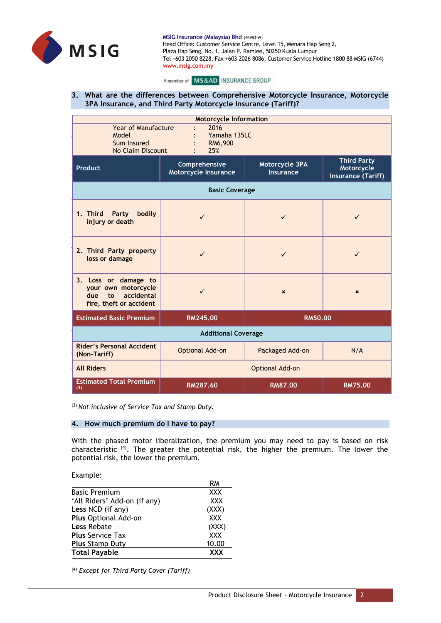

#### A member of MS&AD INSURANCE GROUP

# **3. What are the differences between Comprehensive Motorcycle Insurance, Motorcycle 3PA Insurance, and Third Party Motorcycle Insurance (Tariff)?**

| <b>Motorcycle Information</b>                                                                     |                                              |                                    |                                                               |  |  |
|---------------------------------------------------------------------------------------------------|----------------------------------------------|------------------------------------|---------------------------------------------------------------|--|--|
| <b>Year of Manufacture</b><br>Model<br>Sum Insured<br>No Claim Discount                           | 2016<br>Yamaha 135LC<br>RM6,900<br>25%       |                                    |                                                               |  |  |
| Product                                                                                           | Comprehensive<br><b>Motorcycle Insurance</b> | Motorcycle 3PA<br><b>Insurance</b> | <b>Third Party</b><br>Motorcycle<br><b>Insurance (Tariff)</b> |  |  |
| <b>Basic Coverage</b>                                                                             |                                              |                                    |                                                               |  |  |
| bodily<br>1. Third<br>Party<br>injury or death                                                    | $\checkmark$                                 | ✓                                  | $\checkmark$                                                  |  |  |
| 2. Third Party property<br>loss or damage                                                         | $\checkmark$                                 | $\checkmark$                       | ✓                                                             |  |  |
| 3. Loss or damage to<br>your own motorcycle<br>accidental<br>due<br>to<br>fire, theft or accident | ✓                                            | $\boldsymbol{\mathsf{x}}$          | $\boldsymbol{\mathsf{x}}$                                     |  |  |
| <b>Estimated Basic Premium</b><br>RM245.00                                                        |                                              | <b>RM50.00</b>                     |                                                               |  |  |
| <b>Additional Coverage</b>                                                                        |                                              |                                    |                                                               |  |  |
| <b>Rider's Personal Accident</b><br>(Non-Tariff)                                                  | Optional Add-on                              | Packaged Add-on                    | N/A                                                           |  |  |
| <b>All Riders</b>                                                                                 | Optional Add-on                              |                                    |                                                               |  |  |
| <b>Estimated Total Premium</b><br>(3)                                                             | <b>RM287.60</b>                              | <b>RM87.00</b>                     | <b>RM75.00</b>                                                |  |  |

(3) *Not inclusive of Service Tax and Stamp Duty.*

# **4. How much premium do I have to pay?**

With the phased motor liberalization, the premium you may need to pay is based on risk characteristic<sup>(4)</sup>. The greater the potential risk, the higher the premium. The lower the potential risk, the lower the premium.

Example:

|                              | RM         |
|------------------------------|------------|
| <b>Basic Premium</b>         | <b>XXX</b> |
| 'All Riders' Add-on (if any) | <b>XXX</b> |
| Less NCD (if any)            | (XXX)      |
| Plus Optional Add-on         | <b>XXX</b> |
| <b>Less Rebate</b>           | (XXX)      |
| <b>Plus Service Tax</b>      | <b>XXX</b> |
| <b>Plus Stamp Duty</b>       | 10.00      |
| <b>Total Payable</b>         | <b>XXX</b> |

(4) *Except for Third Party Cover (Tariff)*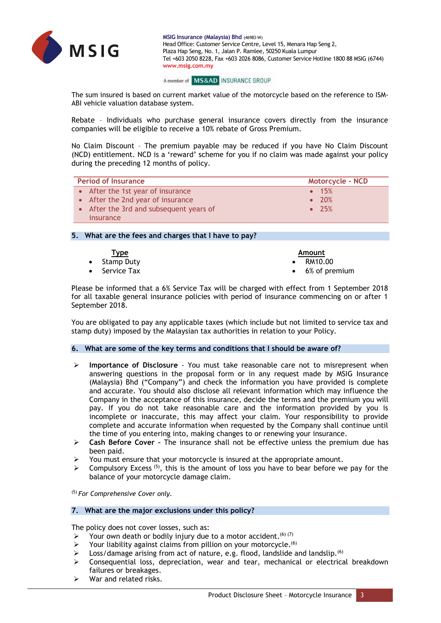

#### A member of MS&AD INSURANCE GROUP

The sum insured is based on current market value of the motorcycle based on the reference to ISM-ABI vehicle valuation database system.

Rebate – Individuals who purchase general insurance covers directly from the insurance companies will be eligible to receive a 10% rebate of Gross Premium.

No Claim Discount – The premium payable may be reduced if you have No Claim Discount (NCD) entitlement. NCD is a 'reward' scheme for you if no claim was made against your policy during the preceding 12 months of policy.

| <b>Period of Insurance</b>              | <b>Motorcycle - NCD</b> |
|-----------------------------------------|-------------------------|
| • After the 1st year of insurance       | $\bullet$ 15%           |
| • After the 2nd year of insurance       | $\bullet$ 20%           |
| • After the 3rd and subsequent years of | $\bullet$ 25%           |
| insurance                               |                         |

# **5. What are the fees and charges that I have to pay?**

| <u>Type</u>           | Amount                  |
|-----------------------|-------------------------|
| • Stamp Duty          | $\bullet$ RM10.00       |
| $\bullet$ Service Tax | $\bullet$ 6% of premium |

Please be informed that a 6% Service Tax will be charged with effect from 1 September 2018 for all taxable general insurance policies with period of insurance commencing on or after 1 September 2018.

You are obligated to pay any applicable taxes (which include but not limited to service tax and stamp duty) imposed by the Malaysian tax authorities in relation to your Policy.

# **6. What are some of the key terms and conditions that I should be aware of?**

- **Importance of Disclosure**  You must take reasonable care not to misrepresent when answering questions in the proposal form or in any request made by MSIG Insurance (Malaysia) Bhd ("Company") and check the information you have provided is complete and accurate. You should also disclose all relevant information which may influence the Company in the acceptance of this insurance, decide the terms and the premium you will pay. If you do not take reasonable care and the information provided by you is incomplete or inaccurate, this may affect your claim. Your responsibility to provide complete and accurate information when requested by the Company shall continue until the time of you entering into, making changes to or renewing your insurance.
- **Cash Before Cover –** The insurance shall not be effective unless the premium due has been paid.
- $\triangleright$  You must ensure that your motorcycle is insured at the appropriate amount.
- $\triangleright$  Compulsory Excess <sup>(5)</sup>, this is the amount of loss you have to bear before we pay for the balance of your motorcycle damage claim.

(5) *For Comprehensive Cover only.*

# **7. What are the major exclusions under this policy?**

The policy does not cover losses, such as:

- Your own death or bodily injury due to a motor accident.<sup>(6)</sup> (7)
- $\triangleright$  Your liability against claims from pillion on your motorcycle.<sup>(6)</sup>
- $\triangleright$  Loss/damage arising from act of nature, e.g. flood, landslide and landslip.<sup>(6)</sup>
- $\triangleright$  Consequential loss, depreciation, wear and tear, mechanical or electrical breakdown failures or breakages.
- War and related risks.